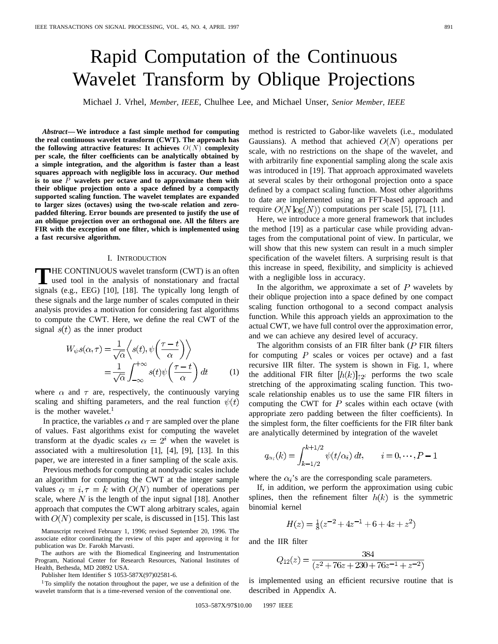# Rapid Computation of the Continuous Wavelet Transform by Oblique Projections

Michael J. Vrhel, *Member, IEEE*, Chulhee Lee, and Michael Unser, *Senior Member, IEEE*

*Abstract—***We introduce a fast simple method for computing the real continuous wavelet transform (CWT). The approach has the following attractive features: It achieves**  $O(N)$  **complexity per scale, the filter coefficients can be analytically obtained by a simple integration, and the algorithm is faster than a least squares approach with negligible loss in accuracy. Our method is to use** P **wavelets per octave and to approximate them with their oblique projection onto a space defined by a compactly supported scaling function. The wavelet templates are expanded to larger sizes (octaves) using the two-scale relation and zeropadded filtering. Error bounds are presented to justify the use of an oblique projection over an orthogonal one. All the filters are FIR with the exception of one filter, which is implemented using a fast recursive algorithm.**

#### I. INTRODUCTION

**T**HE CONTINUOUS wavelet transform (CWT) is an often used tool in the analysis of nonstationary and fractal signals (e.g., EEG) [10], [18]. The typically long length of these signals and the large number of scales computed in their analysis provides a motivation for considering fast algorithms to compute the CWT. Here, we define the real CWT of the signal  $s(t)$  as the inner product

$$
W_{\psi}s(\alpha,\tau) = \frac{1}{\sqrt{\alpha}} \left\langle s(t), \psi\left(\frac{\tau - t}{\alpha}\right) \right\rangle
$$
  
= 
$$
\frac{1}{\sqrt{\alpha}} \int_{-\infty}^{+\infty} s(t) \psi\left(\frac{\tau - t}{\alpha}\right) dt
$$
 (1)

where  $\alpha$  and  $\tau$  are, respectively, the continuously varying scaling and shifting parameters, and the real function  $\psi(t)$ is the mother wavelet. $<sup>1</sup>$ </sup>

In practice, the variables  $\alpha$  and  $\tau$  are sampled over the plane of values. Fast algorithms exist for computing the wavelet transform at the dyadic scales  $\alpha = 2^{i}$  when the wavelet is associated with a multiresolution [1], [4], [9], [13]. In this paper, we are interested in a finer sampling of the scale axis.

Previous methods for computing at nondyadic scales include an algorithm for computing the CWT at the integer sample values  $\alpha = i, \tau = k$  with  $O(N)$  number of operations per scale, where N is the length of the input signal [18]. Another approach that computes the CWT along arbitrary scales, again with  $O(N)$  complexity per scale, is discussed in [15]. This last

Manuscript received February 1, 1996; revised September 20, 1996. The associate editor coordinating the review of this paper and approving it for publication was Dr. Farokh Marvasti.

The authors are with the Biomedical Engineering and Instrumentation Program, National Center for Research Resources, National Institutes of Health, Bethesda, MD 20892 USA.

Publisher Item Identifier S 1053-587X(97)02581-6.

<sup>1</sup>To simplify the notation throughout the paper, we use a definition of the wavelet transform that is a time-reversed version of the conventional one.

method is restricted to Gabor-like wavelets (i.e., modulated Gaussians). A method that achieved  $O(N)$  operations per scale, with no restrictions on the shape of the wavelet, and with arbitrarily fine exponential sampling along the scale axis was introduced in [19]. That approach approximated wavelets at several scales by their orthogonal projection onto a space defined by a compact scaling function. Most other algorithms to date are implemented using an FFT-based approach and require  $O(N \log(N))$  computations per scale [5], [7], [11].

Here, we introduce a more general framework that includes the method [19] as a particular case while providing advantages from the computational point of view. In particular, we will show that this new system can result in a much simpler specification of the wavelet filters. A surprising result is that this increase in speed, flexibility, and simplicity is achieved with a negligible loss in accuracy.

In the algorithm, we approximate a set of  $P$  wavelets by their oblique projection into a space defined by one compact scaling function orthogonal to a second compact analysis function. While this approach yields an approximation to the actual CWT, we have full control over the approximation error, and we can achieve any desired level of accuracy.

The algorithm consists of an FIR filter bank  $(P$  FIR filters for computing  $P$  scales or voices per octave) and a fast recursive IIR filter. The system is shown in Fig. 1, where the additional FIR filter  $[h(k)]_{\hat{1}2^i}$  performs the two scale stretching of the approximating scaling function. This twoscale relationship enables us to use the same FIR filters in computing the CWT for  $P$  scales within each octave (with appropriate zero padding between the filter coefficients). In the simplest form, the filter coefficients for the FIR filter bank are analytically determined by integration of the wavelet

$$
q_{\alpha_i}(k) = \int_{k-1/2}^{k+1/2} \psi(t/\alpha_i) \, dt, \qquad i = 0, \cdots, P-1
$$

where the  $\alpha_i$ 's are the corresponding scale parameters.

If, in addition, we perform the approximation using cubic splines, then the refinement filter  $h(k)$  is the symmetric binomial kernel

$$
H(z) = \frac{1}{8}(z^{-2} + 4z^{-1} + 6 + 4z + z^2)
$$

and the IIR filter

$$
Q_{12}(z) = \frac{384}{(z^2 + 76z + 230 + 76z^{-1} + z^{-2})}
$$

is implemented using an efficient recursive routine that is described in Appendix A.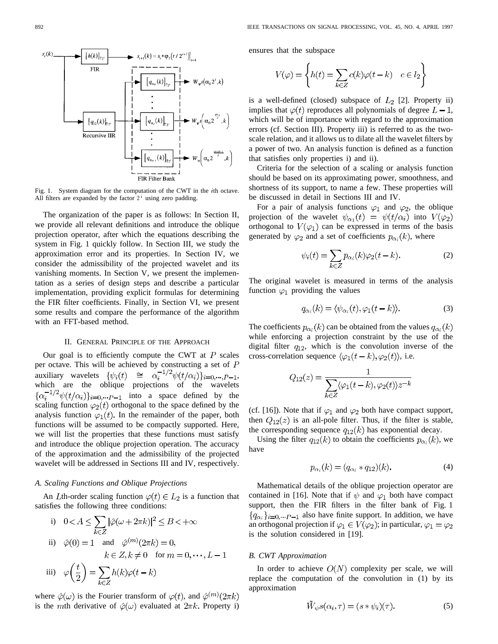

Fig. 1. System diagram for the computation of the CWT in the *i*th octave. All filters are expanded by the factor  $2<sup>i</sup>$  using zero padding.

The organization of the paper is as follows: In Section II, we provide all relevant definitions and introduce the oblique projection operator, after which the equations describing the system in Fig. 1 quickly follow. In Section III, we study the approximation error and its properties. In Section IV, we consider the admissibility of the projected wavelet and its vanishing moments. In Section V, we present the implementation as a series of design steps and describe a particular implementation, providing explicit formulas for determining the FIR filter coefficients. Finally, in Section VI, we present some results and compare the performance of the algorithm with an FFT-based method.

# II. GENERAL PRINCIPLE OF THE APPROACH

Our goal is to efficiently compute the CWT at  $P$  scales per octave. This will be achieved by constructing a set of  $P$ auxiliary wavelets  $\{\psi_i(t) \cong \alpha_i^{-1/2} \psi(t/\alpha_i)\}_{i=0,\dots,P-1}$ , which are the oblique projections of the wavelets  $\{\alpha_i^{-1/2}\psi(t/\alpha_i)\}_{i=0,\dots,P-1}$  into a space defined by the scaling function  $\varphi_2(t)$  orthogonal to the space defined by the analysis function  $\varphi_1(t)$ . In the remainder of the paper, both functions will be assumed to be compactly supported. Here, we will list the properties that these functions must satisfy and introduce the oblique projection operation. The accuracy of the approximation and the admissibility of the projected wavelet will be addressed in Sections III and IV, respectively.

# *A. Scaling Functions and Oblique Projections*

An Lth-order scaling function  $\varphi(t) \in L_2$  is a function that satisfies the following three conditions:

i) 
$$
0 < A \le \sum_{k \in \mathbb{Z}} |\hat{\varphi}(\omega + 2\pi k)|^2 \le B < +\infty
$$
  
\nii)  $\hat{\varphi}(0) = 1$  and  $\hat{\varphi}^{(m)}(2\pi k) = 0$ ,  
\n $k \in \mathbb{Z}, k \neq 0 \text{ for } m = 0, \dots, L-1$   
\niii)  $\varphi\left(\frac{t}{2}\right) = \sum_{k \in \mathbb{Z}} h(k)\varphi(t - k)$ 

where  $\hat{\varphi}(\omega)$  is the Fourier transform of  $\varphi(t)$ , and  $\hat{\varphi}^{(m)}(2\pi k)$ is the mth derivative of  $\hat{\varphi}(\omega)$  evaluated at  $2\pi k$ . Property i) ensures that the subspace

$$
V(\varphi) = \left\{ h(t) = \sum_{k \in Z} c(k)\varphi(t - k) \quad c \in l_2 \right\}
$$

is a well-defined (closed) subspace of  $L_2$  [2]. Property ii) implies that  $\varphi(t)$  reproduces all polynomials of degree  $L-1$ , which will be of importance with regard to the approximation errors (cf. Section III). Property iii) is referred to as the twoscale relation, and it allows us to dilate all the wavelet filters by a power of two. An analysis function is defined as a function that satisfies only properties i) and ii).

Criteria for the selection of a scaling or analysis function should be based on its approximating power, smoothness, and shortness of its support, to name a few. These properties will be discussed in detail in Sections III and IV.

For a pair of analysis functions  $\varphi_1$  and  $\varphi_2$ , the oblique projection of the wavelet  $\psi_{\alpha_1}(t) = \psi(t/\alpha_i)$  into  $V(\varphi_2)$ orthogonal to  $V(\varphi_1)$  can be expressed in terms of the basis generated by  $\varphi_2$  and a set of coefficients  $p_{\alpha_i}(k)$ , where

$$
\psi_i(t) = \sum_{k \in \mathbb{Z}} p_{\alpha_i}(k) \varphi_2(t - k). \tag{2}
$$

The original wavelet is measured in terms of the analysis function  $\varphi_1$  providing the values

$$
q_{\alpha_i}(k) = \langle \psi_{\alpha_i}(t), \varphi_1(t-k) \rangle.
$$
 (3)

The coefficients  $p_{\alpha_i}(k)$  can be obtained from the values  $q_{\alpha_i}(k)$ while enforcing a projection constraint by the use of the digital filter  $q_{12}$ , which is the convolution inverse of the cross-correlation sequence  $\langle \varphi_1(t-k), \varphi_2(t) \rangle$ , i.e.

$$
Q_{12}(z) = \frac{1}{\sum_{k \in \mathbb{Z}} \langle \varphi_1(t-k), \varphi_2(t) \rangle z^{-k}}
$$

(cf. [16]). Note that if  $\varphi_1$  and  $\varphi_2$  both have compact support, then  $Q_{12}(z)$  is an all-pole filter. Thus, if the filter is stable, the corresponding sequence  $q_{12}(k)$  has exponential decay.

Using the filter  $q_{12}(k)$  to obtain the coefficients  $p_{\alpha_i}(k)$ , we have

$$
p_{\alpha_i}(k) = (q_{\alpha_i} * q_{12})(k). \tag{4}
$$

Mathematical details of the oblique projection operator are contained in [16]. Note that if  $\psi$  and  $\varphi_1$  both have compact support, then the FIR filters in the filter bank of Fig. 1  ${q_{\alpha_i}}_{i=0,\dots P-1}$  also have finite support. In addition, we have an orthogonal projection if  $\varphi_1 \in V(\varphi_2)$ ; in particular,  $\varphi_1 = \varphi_2$ is the solution considered in [19].

# *B. CWT Approximation*

In order to achieve  $O(N)$  complexity per scale, we will replace the computation of the convolution in (1) by its approximation

$$
\tilde{W}_{\psi} s(\alpha_i, \tau) = (s * \psi_i)(\tau). \tag{5}
$$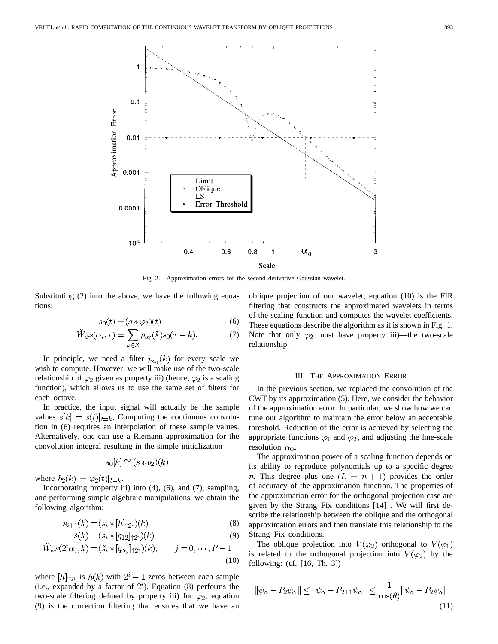

Fig. 2. Approximation errors for the second derivative Gaussian wavelet.

Substituting (2) into the above, we have the following equations:

$$
s_0(t) = (s * \varphi_2)(t) \tag{6}
$$

$$
\widetilde{W}_{\psi} s(\alpha_i, \tau) = \sum_{k \in Z} p_{\alpha_i}(k) s_0(\tau - k). \tag{7}
$$

In principle, we need a filter  $p_{\alpha_i}(k)$  for every scale we wish to compute. However, we will make use of the two-scale relationship of  $\varphi_2$  given as property iii) (hence,  $\varphi_2$  is a scaling function), which allows us to use the same set of filters for each octave.

In practice, the input signal will actually be the sample values  $s[k] = s(t)|_{t=k}$ . Computing the continuous convolution in (6) requires an interpolation of these sample values. Alternatively, one can use a Riemann approximation for the convolution integral resulting in the simple initialization

$$
s_0[k] \cong (s * b_2)(k)
$$

where  $b_2(k) = \varphi_2(t)|_{t=k}$ .

Incorporating property iii) into (4), (6), and (7), sampling, and performing simple algebraic manipulations, we obtain the following algorithm:

$$
s_{i+1}(k) = (s_i * [h]_{\uparrow 2^i})(k)
$$
\n(8)

$$
\tilde{s}(k) = (s_i * [q_{12}]_{\uparrow 2^i})(k)
$$
\n(9)

$$
W_{\psi}s(2^{i}\alpha_{j},k) = (\tilde{s}_{i} * [q_{\alpha_{j}}]_{\uparrow}2^{i})(k), \qquad j = 0, \cdots, P - 1
$$
\n(10)

where  $[h]_{\uparrow 2^i}$  is  $h(k)$  with  $2^i - 1$  zeros between each sample (i.e., expanded by a factor of  $2^i$ ). Equation (8) performs the two-scale filtering defined by property iii) for  $\varphi_2$ ; equation (9) is the correction filtering that ensures that we have an oblique projection of our wavelet; equation (10) is the FIR filtering that constructs the approximated wavelets in terms of the scaling function and computes the wavelet coefficients. These equations describe the algorithm as it is shown in Fig. 1. Note that only  $\varphi_2$  must have property iii)—the two-scale relationship.

# III. THE APPROXIMATION ERROR

In the previous section, we replaced the convolution of the CWT by its approximation (5). Here, we consider the behavior of the approximation error. In particular, we show how we can tune our algorithm to maintain the error below an acceptable threshold. Reduction of the error is achieved by selecting the appropriate functions  $\varphi_1$  and  $\varphi_2$ , and adjusting the fine-scale resolution  $\alpha_0$ .

The approximation power of a scaling function depends on its ability to reproduce polynomials up to a specific degree n. This degree plus one  $(L = n + 1)$  provides the order of accuracy of the approximation function. The properties of the approximation error for the orthogonal projection case are given by the Strang–Fix conditions [14] . We will first describe the relationship between the oblique and the orthogonal approximation errors and then translate this relationship to the Strang–Fix conditions.

The oblique projection into  $V(\varphi_2)$  orthogonal to  $V(\varphi_1)$ is related to the orthogonal projection into  $V(\varphi_2)$  by the following: (cf. [16, Th. 3])

$$
\|\psi_{\alpha} - P_2 \psi_{\alpha}\| \le \|\psi_{\alpha} - P_{2\perp 1} \psi_{\alpha}\| \le \frac{1}{\cos(\theta)} \|\psi_{\alpha} - P_2 \psi_{\alpha}\|
$$
\n(11)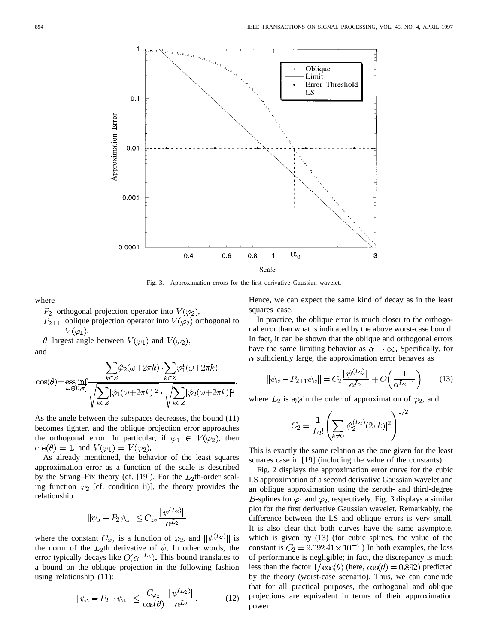

Fig. 3. Approximation errors for the first derivative Gaussian wavelet.

where

 $P_2$  orthogonal projection operator into  $V(\varphi_2)$ ,

 $P_{2\perp 1}$  oblique projection operator into  $V(\varphi_2)$  orthogonal to  $V(\varphi_1),$ 

 $\theta$  largest angle between  $V(\varphi_1)$  and  $V(\varphi_2)$ , and

$$
\cos(\theta) = \underset{\omega \in (0,\pi]}{\text{ess inf}} \frac{\sum_{k \in Z} \hat{\varphi}_2(\omega + 2\pi k) \cdot \sum_{k \in Z} \hat{\varphi}_1^*(\omega + 2\pi k)}{\sqrt{\sum_{k \in Z} |\hat{\varphi}_1(\omega + 2\pi k)|^2} \cdot \sqrt{\sum_{k \in Z} |\hat{\varphi}_2(\omega + 2\pi k)|^2}}
$$

As the angle between the subspaces decreases, the bound (11) becomes tighter, and the oblique projection error approaches the orthogonal error. In particular, if  $\varphi_1 \in V(\varphi_2)$ , then  $\cos(\theta) = 1$ , and  $V(\varphi_1) = V(\varphi_2)$ .

As already mentioned, the behavior of the least squares approximation error as a function of the scale is described by the Strang–Fix theory (cf. [19]). For the  $L_2$ th-order scaling function  $\varphi_2$  [cf. condition ii)], the theory provides the relationship

$$
||\psi_\alpha-P_2\psi_\alpha||\leq C_{\varphi_2}\frac{||\psi^{(L_2)}||}{\alpha^{L_2}}
$$

where the constant  $C_{\varphi_2}$  is a function of  $\varphi_2$ , and  $\|\psi^{(L_2)}\|$  is the norm of the  $L_2$ th derivative of  $\psi$ . In other words, the error typically decays like  $O(\alpha^{-L_2})$ . This bound translates to a bound on the oblique projection in the following fashion using relationship (11):

$$
\|\psi_{\alpha} - P_{2\perp 1}\psi_{\alpha}\| \le \frac{C_{\varphi_2}}{\cos(\theta)} \frac{\|\psi^{(L_2)}\|}{\alpha^{L_2}}.
$$
 (12)

Hence, we can expect the same kind of decay as in the least squares case.

In practice, the oblique error is much closer to the orthogonal error than what is indicated by the above worst-case bound. In fact, it can be shown that the oblique and orthogonal errors have the same limiting behavior as  $\alpha \rightarrow \infty$ . Specifically, for  $\alpha$  sufficiently large, the approximation error behaves as

$$
||\psi_{\alpha} - P_{2\perp 1} \psi_{\alpha}|| = C_2 \frac{||\psi^{(L_2)}||}{\alpha^{L_2}} + O\left(\frac{1}{\alpha^{L_2 + 1}}\right) \tag{13}
$$

where  $L_2$  is again the order of approximation of  $\varphi_2$ , and

$$
C_2 = \frac{1}{L_2!} \left( \sum_{k \neq 0} |\hat{\varphi}_2^{(L_2)}(2\pi k)|^2 \right)^{1/2}.
$$

This is exactly the same relation as the one given for the least squares case in [19] (including the value of the constants).

Fig. 2 displays the approximation error curve for the cubic LS approximation of a second derivative Gaussian wavelet and an oblique approximation using the zeroth- and third-degree B-splines for  $\varphi_1$  and  $\varphi_2$ , respectively. Fig. 3 displays a similar plot for the first derivative Gaussian wavelet. Remarkably, the difference between the LS and oblique errors is very small. It is also clear that both curves have the same asymptote, which is given by (13) (for cubic splines, the value of the constant is  $C_2 = 9.09241 \times 10^{-4}$ .) In both examples, the loss of performance is negligible; in fact, the discrepancy is much less than the factor  $1/\cos(\theta)$  (here,  $\cos(\theta) = 0.892$ ) predicted by the theory (worst-case scenario). Thus, we can conclude that for all practical purposes, the orthogonal and oblique projections are equivalent in terms of their approximation power.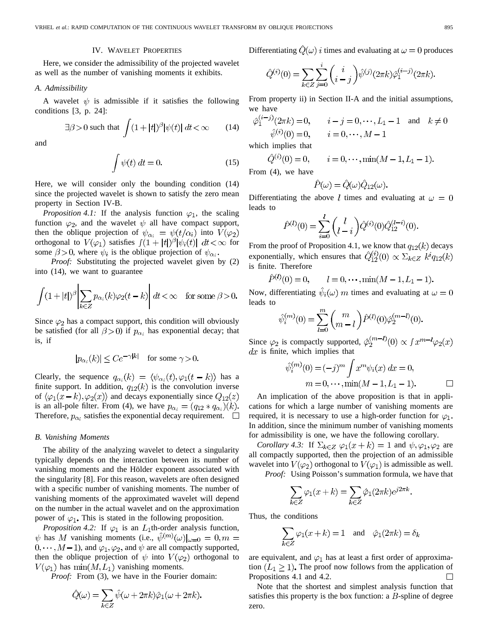# IV. WAVELET PROPERTIES

Here, we consider the admissibility of the projected wavelet as well as the number of vanishing moments it exhibits.

### *A. Admissibility*

A wavelet  $\psi$  is admissible if it satisfies the following conditions [3, p. 24]:

$$
\exists \beta > 0 \text{ such that } \int (1+|t|)^{\beta} |\psi(t)| \, dt < \infty \qquad (14)
$$

and

$$
\int \psi(t) dt = 0.
$$
 (15)

Here, we will consider only the bounding condition (14) since the projected wavelet is shown to satisfy the zero mean property in Section IV-B.

*Proposition 4.1:* If the analysis function  $\varphi_1$ , the scaling function  $\varphi_2$ , and the wavelet  $\psi$  all have compact support, then the oblique projection of  $\psi_{\alpha_i} = \psi(t/\alpha_i)$  into  $V(\varphi_2)$ orthogonal to  $V(\varphi_1)$  satisfies  $\int (1+|t|)^{\beta} |\psi_i(t)| dt < \infty$  for some  $\beta > 0$ , where  $\psi_i$  is the oblique projection of  $\psi_{\alpha_i}$ .

*Proof:* Substituting the projected wavelet given by (2) into (14), we want to guarantee

$$
\int (1+|t|)^{\beta} \left| \sum_{k \in \mathbb{Z}} p_{\alpha_i}(k) \varphi_2(t-k) \right| dt < \infty \quad \text{for some } \beta > 0.
$$

Since  $\varphi_2$  has a compact support, this condition will obviously be satisfied (for all  $\beta > 0$ ) if  $p_{\alpha_i}$  has exponential decay; that is, if

$$
|p_{\alpha_i}(k)| \le Ce^{-\gamma|k|} \quad \text{for some } \gamma > 0.
$$

Clearly, the sequence  $q_{\alpha_i}(k) = \langle \psi_{\alpha_i}(t), \varphi_1(t-k) \rangle$  has a finite support. In addition,  $q_{12}(k)$  is the convolution inverse of  $\langle \varphi_1(x-k), \varphi_2(x) \rangle$  and decays exponentially since  $Q_{12}(z)$ is an all-pole filter. From (4), we have  $p_{\alpha_i} = (q_{12} * q_{\alpha_i})(k)$ . Therefore,  $p_{\alpha_i}$  satisfies the exponential decay requirement.  $\Box$ 

# *B. Vanishing Moments*

The ability of the analyzing wavelet to detect a singularity typically depends on the interaction between its number of vanishing moments and the Hölder exponent associated with the singularity [8]. For this reason, wavelets are often designed with a specific number of vanishing moments. The number of vanishing moments of the approximated wavelet will depend on the number in the actual wavelet and on the approximation power of  $\varphi_1$ . This is stated in the following proposition.

*Proposition 4.2:* If  $\varphi_1$  is an  $L_1$ th-order analysis function,  $\psi$  has M vanishing moments (i.e.,  $\hat{\psi}^{(m)}(\omega)|_{\omega=0} = 0, m =$  $0, \dots, M-1$ ), and  $\varphi_1, \varphi_2$ , and  $\psi$  are all compactly supported, then the oblique projection of  $\psi$  into  $V(\varphi_2)$  orthogonal to  $V(\varphi_1)$  has  $\min(M, L_1)$  vanishing moments.

*Proof:* From (3), we have in the Fourier domain:

$$
\hat{Q}(\omega) = \sum_{k \in \mathbb{Z}} \hat{\psi}(\omega + 2\pi k)\hat{\varphi}_1(\omega + 2\pi k).
$$

Differentiating  $\hat{Q}(\omega)$  *i* times and evaluating at  $\omega = 0$  produces

$$
\hat{Q}^{(i)}(0) = \sum_{k \in Z} \sum_{j=0}^{i} \binom{i}{i-j} \hat{\psi}^{(j)}(2\pi k) \hat{\varphi}_1^{(i-j)}(2\pi k).
$$

From property ii) in Section II-A and the initial assumptions, we have

$$
\hat{\varphi}_1^{(i-j)}(2\pi k) = 0, \qquad i - j = 0, \dots, L_1 - 1 \quad \text{and} \quad k \neq 0
$$
  

$$
\hat{\psi}^{(i)}(0) = 0, \qquad i = 0, \dots, M - 1
$$
  
which implies that

$$
\hat{Q}^{(i)}(0) = 0, \qquad i = 0, \cdots, \min(M - 1, L_1 - 1)
$$

From (4), we have

$$
\hat{P}(\omega) = \hat{Q}(\omega)\hat{Q}_{12}(\omega).
$$

Differentiating the above l times and evaluating at  $\omega = 0$ leads to

$$
\hat{P}^{(l)}(0) = \sum_{i=0}^{l} {l \choose l-i} \hat{Q}^{(i)}(0) \hat{Q}_{12}^{(l-i)}(0).
$$

From the proof of Proposition 4.1, we know that  $q_{12}(k)$  decays exponentially, which ensures that  $\hat{Q}_{12}^{(i)}(0) \propto \sum_{k \in \mathbb{Z}} k^i q_{12}(k)$ is finite. Therefore

$$
\hat{P}^{(l)}(0) = 0, \qquad l = 0, \cdots, \min(M - 1, L_1 - 1).
$$

Now, differentiating  $\psi_i(\omega)$  m times and evaluating at  $\omega = 0$ leads to

$$
\hat{\psi}_i^{(m)}(0) = \sum_{l=0}^m \binom{m}{m-l} \hat{P}^{(l)}(0) \hat{\varphi}_2^{(m-l)}(0).
$$

Since  $\varphi_2$  is compactly supported,  $\hat{\varphi}_2^{(m-l)}(0) \propto \int x^{m-l} \varphi_2(x)$  $dx$  is finite, which implies that

$$
\hat{\psi}_i^{(m)}(0) = (-j)^m \int x^m \psi_i(x) \, dx = 0, \nm = 0, \cdots, \min(M - 1, L_1 - 1).
$$

An implication of the above proposition is that in applications for which a large number of vanishing moments are required, it is necessary to use a high-order function for  $\varphi_1$ . In addition, since the minimum number of vanishing moments for admissibility is one, we have the following corollary.

*Corollary 4.3:* If  $\Sigma_{k \in \mathbb{Z}} \varphi_1(x+k) = 1$  and  $\psi, \varphi_1, \varphi_2$  are all compactly supported, then the projection of an admissible wavelet into  $V(\varphi_2)$  orthogonal to  $V(\varphi_1)$  is admissible as well.

*Proof:* Using Poisson's summation formula, we have that

$$
\sum_{k \in Z} \varphi_1(x+k) = \sum_{k \in Z} \hat{\varphi}_1(2\pi k) e^{j2\pi k}.
$$

Thus, the conditions

$$
\sum_{k \in Z} \varphi_1(x + k) = 1 \quad \text{and} \quad \hat{\varphi}_1(2\pi k) = \delta_k
$$

are equivalent, and  $\varphi_1$  has at least a first order of approximation  $(L_1 \geq 1)$ . The proof now follows from the application of Propositions 4.1 and 4.2.  $\Box$ 

Note that the shortest and simplest analysis function that satisfies this property is the box function: a  $B$ -spline of degree zero.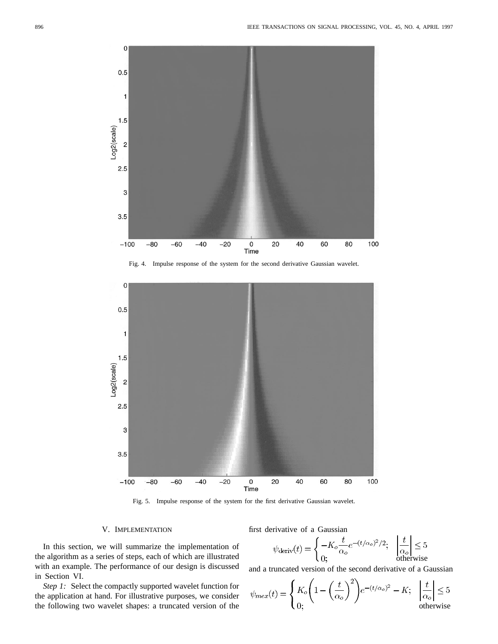

Fig. 4. Impulse response of the system for the second derivative Gaussian wavelet.



Fig. 5. Impulse response of the system for the first derivative Gaussian wavelet.

## V. IMPLEMENTATION

In this section, we will summarize the implementation of the algorithm as a series of steps, each of which are illustrated with an example. The performance of our design is discussed in Section VI.

*Step 1:* Select the compactly supported wavelet function for the application at hand. For illustrative purposes, we consider the following two wavelet shapes: a truncated version of the

first derivative of a Gaussian

$$
\psi_{\text{deriv}}(t) = \begin{cases}\n-K_o \frac{t}{\alpha_o} e^{-(t/\alpha_o)^2/2}; & \left| \frac{t}{\alpha_o} \right| \le 5 \\
0; & \text{otherwise}\n\end{cases}
$$

and a truncated version of the second derivative of a Gaussian

$$
\psi_{mex}(t) = \begin{cases} K_o \left( 1 - \left( \frac{t}{\alpha_o} \right)^2 \right) e^{-(t/\alpha_o)^2} - K; & \left| \frac{t}{\alpha_o} \right| \le 5\\ 0; & \text{otherwise} \end{cases}
$$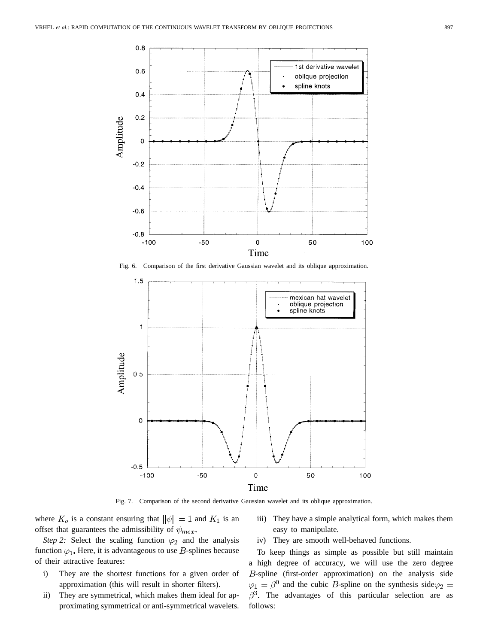

Fig. 6. Comparison of the first derivative Gaussian wavelet and its oblique approximation.



Fig. 7. Comparison of the second derivative Gaussian wavelet and its oblique approximation.

where  $K_o$  is a constant ensuring that  $\|\psi\|=1$  and  $K_1$  is an offset that guarantees the admissibility of  $\psi_{\text{max}}$ .

*Step 2:* Select the scaling function  $\varphi_2$  and the analysis function  $\varphi_1$ . Here, it is advantageous to use *B*-splines because of their attractive features:

- i) They are the shortest functions for a given order of approximation (this will result in shorter filters).
- ii) They are symmetrical, which makes them ideal for approximating symmetrical or anti-symmetrical wavelets.

iii) They have a simple analytical form, which makes them easy to manipulate.

iv) They are smooth well-behaved functions.

To keep things as simple as possible but still maintain a high degree of accuracy, we will use the zero degree  $B$ -spline (first-order approximation) on the analysis side  $\varphi_1 = \beta^0$  and the cubic *B*-spline on the synthesis side $\varphi_2 =$  $\beta^3$ . The advantages of this particular selection are as follows: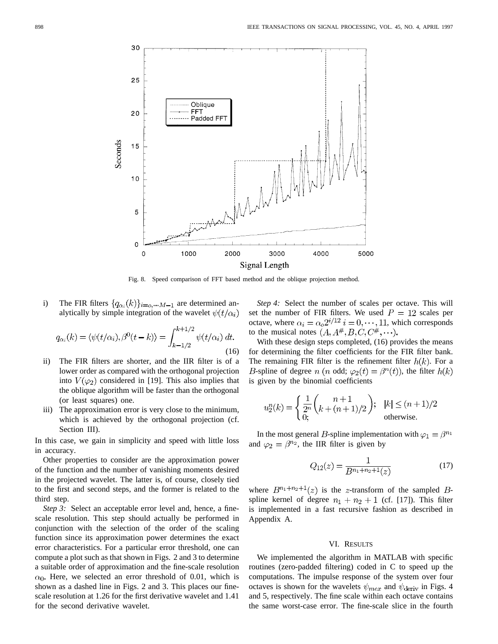

Fig. 8. Speed comparison of FFT based method and the oblique projection method.

i) The FIR filters  $\{q_{\alpha_i}(k)\}_{i=\alpha,\dots M-1}$  are determined analytically by simple integration of the wavelet  $\psi(t/\alpha_i)$ 

$$
q_{\alpha_i}(k) = \langle \psi(t/\alpha_i), \beta^0(t-k) \rangle = \int_{k-1/2}^{k+1/2} \psi(t/\alpha_i) dt.
$$
\n(16)

- ii) The FIR filters are shorter, and the IIR filter is of a lower order as compared with the orthogonal projection into  $V(\varphi_2)$  considered in [19]. This also implies that the oblique algorithm will be faster than the orthogonal (or least squares) one.
- iii) The approximation error is very close to the minimum, which is achieved by the orthogonal projection (cf. Section III).

In this case, we gain in simplicity and speed with little loss in accuracy.

Other properties to consider are the approximation power of the function and the number of vanishing moments desired in the projected wavelet. The latter is, of course, closely tied to the first and second steps, and the former is related to the third step.

*Step 3:* Select an acceptable error level and, hence, a finescale resolution. This step should actually be performed in conjunction with the selection of the order of the scaling function since its approximation power determines the exact error characteristics. For a particular error threshold, one can compute a plot such as that shown in Figs. 2 and 3 to determine a suitable order of approximation and the fine-scale resolution  $\alpha_0$ . Here, we selected an error threshold of 0.01, which is shown as a dashed line in Figs. 2 and 3. This places our finescale resolution at 1.26 for the first derivative wavelet and 1.41 for the second derivative wavelet.

*Step 4:* Select the number of scales per octave. This will set the number of FIR filters. We used  $P = 12$  scales per octave, where  $\alpha_i = \alpha_0 2^{i/12}$   $i = 0, \dots, 11$ , which corresponds to the musical notes  $(A, A^{\#}, B, C, C^{\#}, \cdots)$ .

With these design steps completed, (16) provides the means for determining the filter coefficients for the FIR filter bank. The remaining FIR filter is the refinement filter  $h(k)$ . For a *B*-spline of degree *n* (*n* odd;  $\varphi_2(t) = \beta^n(t)$ ), the filter  $h(k)$ is given by the binomial coefficients

$$
u_2^n(k) = \begin{cases} \frac{1}{2^n} {n+1 \choose k + (n+1)/2} ; & |k| \le (n+1)/2 \\ 0 ; & \text{otherwise.} \end{cases}
$$

In the most general B-spline implementation with  $\varphi_1 = \beta^{n_1}$ and  $\varphi_2 = \beta^{n_2}$ , the IIR filter is given by

$$
Q_{12}(z) = \frac{1}{B^{n_1 + n_2 + 1}(z)}\tag{17}
$$

where  $B^{n_1+n_2+1}(z)$  is the z-transform of the sampled Bspline kernel of degree  $n_1 + n_2 + 1$  (cf. [17]). This filter is implemented in a fast recursive fashion as described in Appendix A.

# VI. RESULTS

We implemented the algorithm in MATLAB with specific routines (zero-padded filtering) coded in C to speed up the computations. The impulse response of the system over four octaves is shown for the wavelets  $\psi_{\text{max}}$  and  $\psi_{\text{deriv}}$  in Figs. 4 and 5, respectively. The fine scale within each octave contains the same worst-case error. The fine-scale slice in the fourth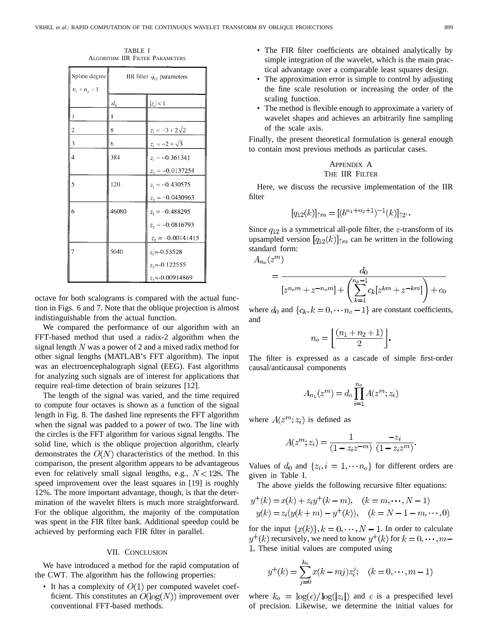TABLE I ALGORITHM IIR FILTER PARAMETERS

| Spline degree           | IIR filter $q_{12}$ parameters |                        |
|-------------------------|--------------------------------|------------------------|
| $n_1 + n_2 + 1$         |                                |                        |
|                         | $d_0$                          | $ z_i  < 1$            |
|                         |                                |                        |
| $\overline{\mathbf{c}}$ | 8                              | $z_1 = -3 + 2\sqrt{2}$ |
| 3                       | 6                              | $z_1 = -2 + \sqrt{3}$  |
| $\overline{4}$          | 384                            | $z_1 = -0.361341$      |
|                         |                                | $z_2 = -0.0137254$     |
| 5                       | 120                            | $z_1 = -0.430575$      |
|                         |                                | $z_2 = -0.0430963$     |
| 6                       | 46080                          | $z_1 = -0.488295$      |
|                         |                                | $z_2 = -0.0816793$     |
|                         |                                | $z_2 = -0.00141415$    |
| $\overline{7}$          | 5040                           | $z_1 = -0.53528$       |
|                         |                                | $z_2$ =-0.122555       |
|                         |                                | $z_1 = -0.00914869$    |

octave for both scalograms is compared with the actual function in Figs. 6 and 7. Note that the oblique projection is almost indistinguishable from the actual function.

We compared the performance of our algorithm with an FFT-based method that used a radix-2 algorithm when the signal length  $N$  was a power of 2 and a mixed radix method for other signal lengths (MATLAB's FFT algorithm). The input was an electroencephalograph signal (EEG). Fast algorithms for analyzing such signals are of interest for applications that require real-time detection of brain seizures [12].

The length of the signal was varied, and the time required to compute four octaves is shown as a function of the signal length in Fig. 8. The dashed line represents the FFT algorithm when the signal was padded to a power of two. The line with the circles is the FFT algorithm for various signal lengths. The solid line, which is the oblique projection algorithm, clearly demonstrates the  $O(N)$  characteristics of the method. In this comparison, the present algorithm appears to be advantageous even for relatively small signal lengths, e.g.,  $N < 128$ . The speed improvement over the least squares in [19] is roughly 12%. The more important advantage, though, is that the determination of the wavelet filters is much more straightforward. For the oblique algorithm, the majority of the computation was spent in the FIR filter bank. Additional speedup could be achieved by performing each FIR filter in parallel.

# VII. CONCLUSION

We have introduced a method for the rapid computation of the CWT. The algorithm has the following properties:

• It has a complexity of  $O(1)$  per computed wavelet coefficient. This constitutes an  $O(log(N))$  improvement over conventional FFT-based methods.

- The FIR filter coefficients are obtained analytically by simple integration of the wavelet, which is the main practical advantage over a comparable least squares design.
- The approximation error is simple to control by adjusting the fine scale resolution or increasing the order of the scaling function.
- The method is flexible enough to approximate a variety of wavelet shapes and achieves an arbitrarily fine sampling of the scale axis.

Finally, the present theoretical formulation is general enough to contain most previous methods as particular cases.

# APPENDIX A THE IIR FILTER

Here, we discuss the recursive implementation of the IIR filter

$$
[q_{12}(k)]_{\uparrow m} = [(b^{n_1+n_2+1})^{-1}(k)]_{\uparrow 2^i}.
$$

Since  $q_{12}$  is a symmetrical all-pole filter, the *z*-transform of its upsampled version  $[q_{12}(k)]_{\uparrow m}$  can be written in the following standard form:

$$
A_{n_o}(z^m)
$$

$$
= \frac{d_0}{[z^{n_0m} + z^{-n_0m}] + \left(\sum_{k=1}^{n_0-1} c_k [z^{km} + z^{-km}]\right) + c_0}
$$

where  $d_0$  and  $\{c_k, k = 0, \dots, n_o - 1\}$  are constant coefficients, and

$$
n_o = \left\lfloor \frac{(n_1 + n_2 + 1)}{2} \right\rfloor
$$

The filter is expressed as a cascade of simple first-order causal/anticausal components

$$
A_{n_1}(z^m) = d_o \prod_{i=1}^{n_o} A(z^m; z_i)
$$

where  $A(z^m; z_i)$  is defined as

$$
A(z^{m}; z_i) = \frac{1}{(1 - z_i z^{-m})} \frac{-z_i}{(1 - z_i z^{m})}
$$

Values of  $d_0$  and  $\{z_i, i = 1, \dots, n_o\}$  for different orders are given in Table I.

The above yields the following recursive filter equations:

$$
y^+(k) = x(k) + z_i y^+(k-m), \quad (k = m, \dots, N-1)
$$
  

$$
y(k) = z_i (y(k+m) - y^+(k)), \quad (k = N-1-m, \dots, 0)
$$

for the input  $\{x(k)\}\$ ,  $k = 0, \dots, N-1$ . In order to calculate  $y^+(k)$  recursively, we need to know  $y^+(k)$  for  $k=0,\dots,m-$ 1. These initial values are computed using

$$
y^{+}(k) = \sum_{j=0}^{k_0} x(k-mj)z_i^j; \quad (k=0,\cdots,m-1)
$$

where  $k_o = \log(\epsilon)/\log(|z_i|)$  and  $\epsilon$  is a prespecified level of precision. Likewise, we determine the initial values for